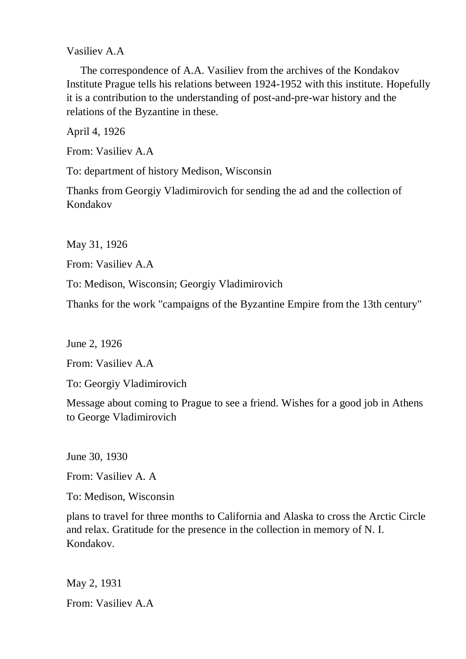Vasiliev A.A

 The correspondence of A.A. Vasiliev from the archives of the Kondakov Institute Prague tells his relations between 1924-1952 with this institute. Hopefully it is a contribution to the understanding of post-and-pre-war history and the relations of the Byzantine in these.

April 4, 1926

From: Vasiliev A.A

To: department of history Medison, Wisconsin

Thanks from Georgiy Vladimirovich for sending the ad and the collection of Kondakov

May 31, 1926

From: Vasiliev A.A

To: Medison, Wisconsin; Georgiy Vladimirovich

Thanks for the work "campaigns of the Byzantine Empire from the 13th century"

June 2, 1926

From: Vasiliev A.A

To: Georgiy Vladimirovich

Message about coming to Prague to see a friend. Wishes for a good job in Athens to George Vladimirovich

June 30, 1930

From: Vasiliev A. A

To: Medison, Wisconsin

plans to travel for three months to California and Alaska to cross the Arctic Circle and relax. Gratitude for the presence in the collection in memory of N. I. Kondakov.

May 2, 1931 From: Vasiliev A.A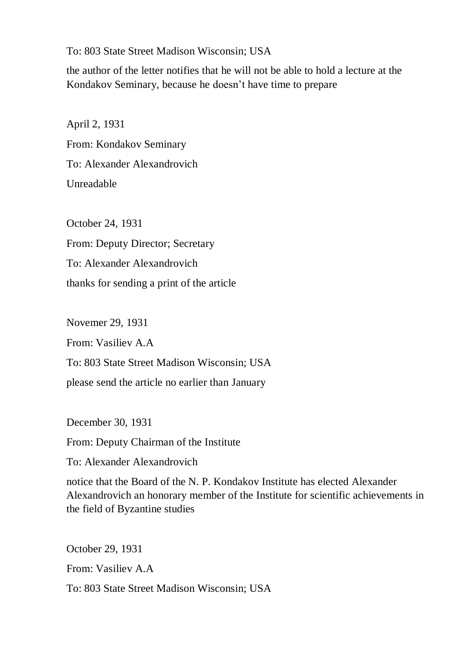To: 803 State Street Madison Wisconsin; USA

the author of the letter notifies that he will not be able to hold a lecture at the Kondakov Seminary, because he doesn't have time to prepare

April 2, 1931 From: Kondakov Seminary To: Alexander Alexandrovich Unreadable

October 24, 1931 From: Deputy Director; Secretary To: Alexander Alexandrovich thanks for sending a print of the article

Novemer 29, 1931 From: Vasiliev A.A To: 803 State Street Madison Wisconsin; USA please send the article no earlier than January

December 30, 1931

From: Deputy Chairman of the Institute

To: Alexander Alexandrovich

notice that the Board of the N. P. Kondakov Institute has elected Alexander Alexandrovich an honorary member of the Institute for scientific achievements in the field of Byzantine studies

October 29, 1931 From: Vasiliev A.A To: 803 State Street Madison Wisconsin; USA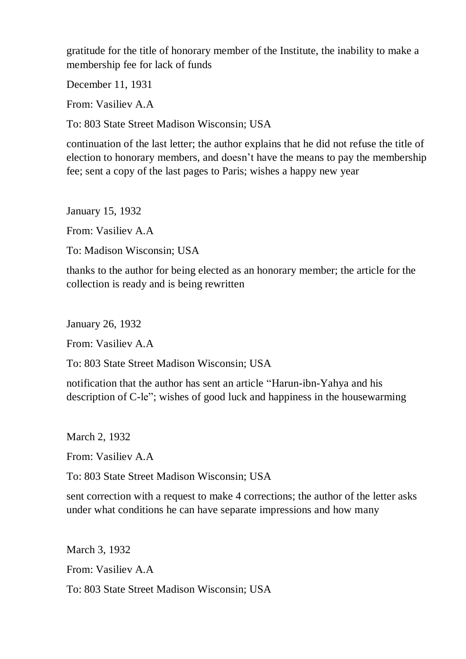gratitude for the title of honorary member of the Institute, the inability to make a membership fee for lack of funds

December 11, 1931

From: Vasiliev A.A

To: 803 State Street Madison Wisconsin; USA

continuation of the last letter; the author explains that he did not refuse the title of election to honorary members, and doesn't have the means to pay the membership fee; sent a copy of the last pages to Paris; wishes a happy new year

January 15, 1932

From: Vasiliev A.A

To: Madison Wisconsin; USA

thanks to the author for being elected as an honorary member; the article for the collection is ready and is being rewritten

January 26, 1932

From: Vasiliev A.A

To: 803 State Street Madison Wisconsin; USA

notification that the author has sent an article "Harun-ibn-Yahya and his description of C-le"; wishes of good luck and happiness in the housewarming

March 2, 1932

From: Vasiliev A.A

To: 803 State Street Madison Wisconsin; USA

sent correction with a request to make 4 corrections; the author of the letter asks under what conditions he can have separate impressions and how many

March 3, 1932 From: Vasiliev A.A To: 803 State Street Madison Wisconsin; USA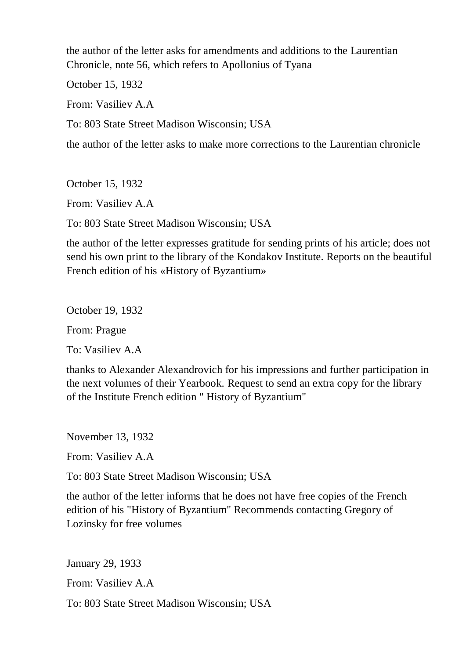the author of the letter asks for amendments and additions to the Laurentian Chronicle, note 56, which refers to Apollonius of Tyana

October 15, 1932

From: Vasiliev A.A

To: 803 State Street Madison Wisconsin; USA

the author of the letter asks to make more corrections to the Laurentian chronicle

October 15, 1932

From: Vasiliev A.A

To: 803 State Street Madison Wisconsin; USA

the author of the letter expresses gratitude for sending prints of his article; does not send his own print to the library of the Kondakov Institute. Reports on the beautiful French edition of his «History of Byzantium»

October 19, 1932

From: Prague

To: Vasiliev A.A

thanks to Alexander Alexandrovich for his impressions and further participation in the next volumes of their Yearbook. Request to send an extra copy for the library of the Institute French edition " History of Byzantium"

November 13, 1932

From: Vasiliev A.A

To: 803 State Street Madison Wisconsin; USA

the author of the letter informs that he does not have free copies of the French edition of his "History of Byzantium" Recommends contacting Gregory of Lozinsky for free volumes

January 29, 1933

From: Vasiliev A.A

To: 803 State Street Madison Wisconsin; USA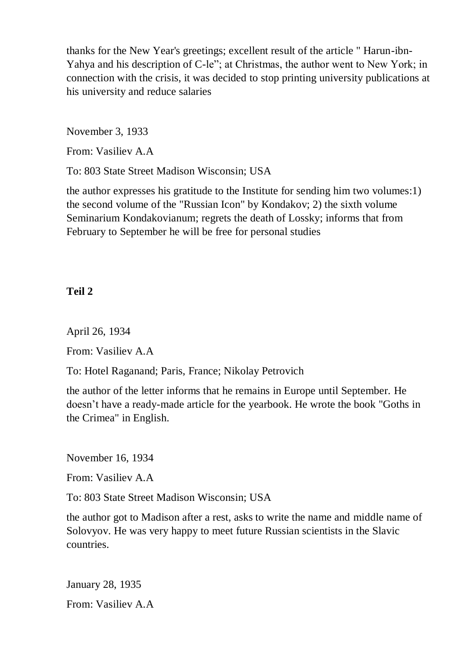thanks for the New Year's greetings; excellent result of the article " Harun-ibn-Yahya and his description of C-le"; at Christmas, the author went to New York; in connection with the crisis, it was decided to stop printing university publications at his university and reduce salaries

November 3, 1933

From: Vasiliev A.A

To: 803 State Street Madison Wisconsin; USA

the author expresses his gratitude to the Institute for sending him two volumes:1) the second volume of the "Russian Icon" by Kondakov; 2) the sixth volume Seminarium Kondakovianum; regrets the death of Lossky; informs that from February to September he will be free for personal studies

## **Teil 2**

April 26, 1934

From: Vasiliev A.A

To: Hotel Raganand; Paris, France; Nikolay Petrovich

the author of the letter informs that he remains in Europe until September. He doesn't have a ready-made article for the yearbook. He wrote the book "Goths in the Crimea" in English.

November 16, 1934

From: Vasiliev A.A

To: 803 State Street Madison Wisconsin; USA

the author got to Madison after a rest, asks to write the name and middle name of Solovyov. He was very happy to meet future Russian scientists in the Slavic countries.

January 28, 1935 From: Vasiliev A.A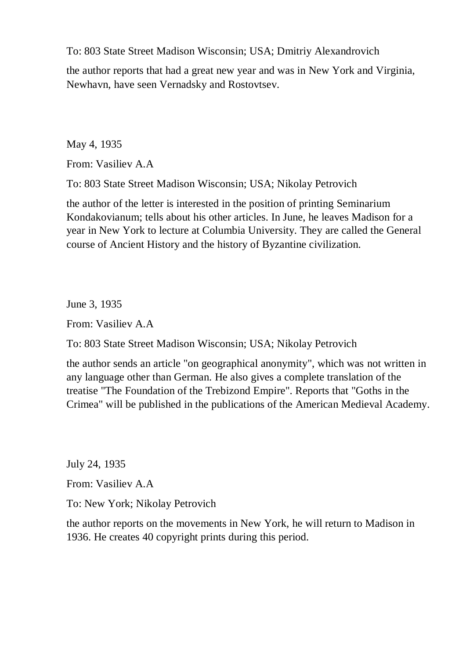To: 803 State Street Madison Wisconsin; USA; Dmitriy Alexandrovich

the author reports that had a great new year and was in New York and Virginia, Newhavn, have seen Vernadsky and Rostovtsev.

May 4, 1935

From: Vasiliev A.A

To: 803 State Street Madison Wisconsin; USA; Nikolay Petrovich

the author of the letter is interested in the position of printing Seminarium Kondakovianum; tells about his other articles. In June, he leaves Madison for a year in New York to lecture at Columbia University. They are called the General course of Ancient History and the history of Byzantine civilization.

June 3, 1935

From: Vasiliev A.A

To: 803 State Street Madison Wisconsin; USA; Nikolay Petrovich

the author sends an article "on geographical anonymity", which was not written in any language other than German. He also gives a complete translation of the treatise "The Foundation of the Trebizond Empire". Reports that "Goths in the Crimea" will be published in the publications of the American Medieval Academy.

July 24, 1935

From: Vasiliev A.A

To: New York; Nikolay Petrovich

the author reports on the movements in New York, he will return to Madison in 1936. He creates 40 copyright prints during this period.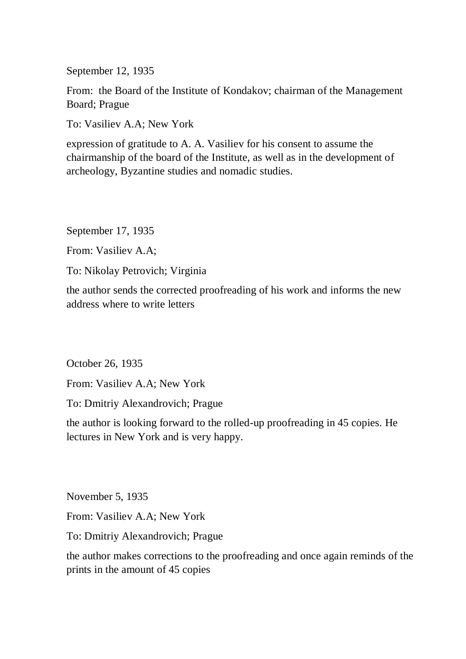September 12, 1935

From: the Board of the Institute of Kondakov; chairman of the Management Board; Prague

To: Vasiliev A.A; New York

expression of gratitude to A. A. Vasiliev for his consent to assume the chairmanship of the board of the Institute, as well as in the development of archeology, Byzantine studies and nomadic studies.

September 17, 1935

From: Vasiliev A.A;

To: Nikolay Petrovich; Virginia

the author sends the corrected proofreading of his work and informs the new address where to write letters

October 26, 1935

From: Vasiliev A.A; New York

To: Dmitriy Alexandrovich; Prague

the author is looking forward to the rolled-up proofreading in 45 copies. He lectures in New York and is very happy.

November 5, 1935

From: Vasiliev A.A; New York

To: Dmitriy Alexandrovich; Prague

the author makes corrections to the proofreading and once again reminds of the prints in the amount of 45 copies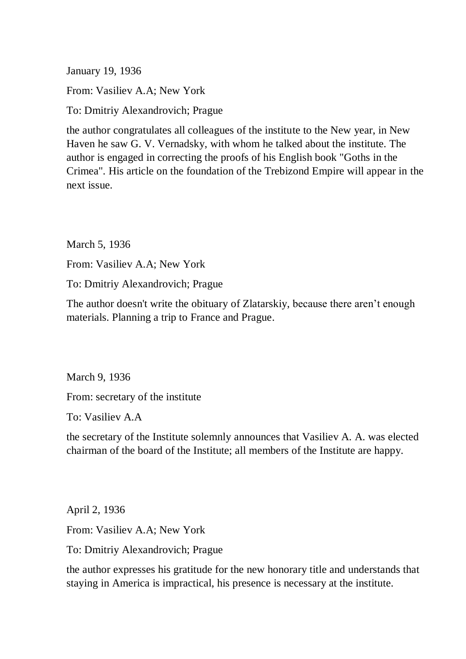January 19, 1936

From: Vasiliev A.A; New York

To: Dmitriy Alexandrovich; Prague

the author congratulates all colleagues of the institute to the New year, in New Haven he saw G. V. Vernadsky, with whom he talked about the institute. The author is engaged in correcting the proofs of his English book "Goths in the Crimea". His article on the foundation of the Trebizond Empire will appear in the next issue.

March 5, 1936

From: Vasiliev A.A; New York

To: Dmitriy Alexandrovich; Prague

The author doesn't write the obituary of Zlatarskiy, because there aren't enough materials. Planning a trip to France and Prague.

March 9, 1936

From: secretary of the institute

To: Vasiliev A.A

the secretary of the Institute solemnly announces that Vasiliev A. A. was elected chairman of the board of the Institute; all members of the Institute are happy.

April 2, 1936

From: Vasiliev A.A; New York

To: Dmitriy Alexandrovich; Prague

the author expresses his gratitude for the new honorary title and understands that staying in America is impractical, his presence is necessary at the institute.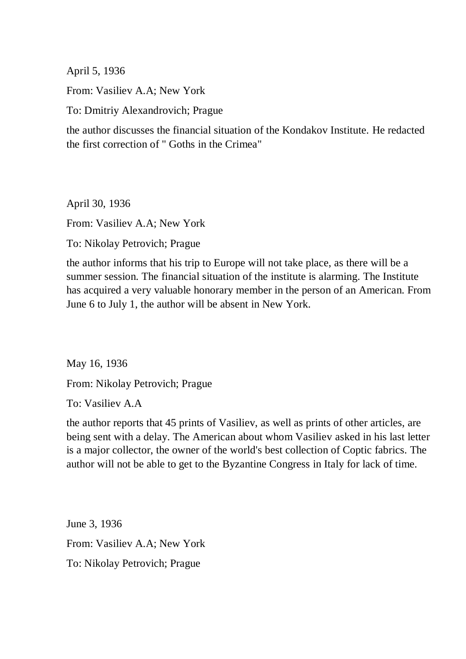April 5, 1936

From: Vasiliev A.A; New York

To: Dmitriy Alexandrovich; Prague

the author discusses the financial situation of the Kondakov Institute. He redacted the first correction of " Goths in the Crimea"

April 30, 1936

From: Vasiliev A.A; New York

To: Nikolay Petrovich; Prague

the author informs that his trip to Europe will not take place, as there will be a summer session. The financial situation of the institute is alarming. The Institute has acquired a very valuable honorary member in the person of an American. From June 6 to July 1, the author will be absent in New York.

May 16, 1936

From: Nikolay Petrovich; Prague

To: Vasiliev A.A

the author reports that 45 prints of Vasiliev, as well as prints of other articles, are being sent with a delay. The American about whom Vasiliev asked in his last letter is a major collector, the owner of the world's best collection of Coptic fabrics. The author will not be able to get to the Byzantine Congress in Italy for lack of time.

June 3, 1936 From: Vasiliev A.A; New York To: Nikolay Petrovich; Prague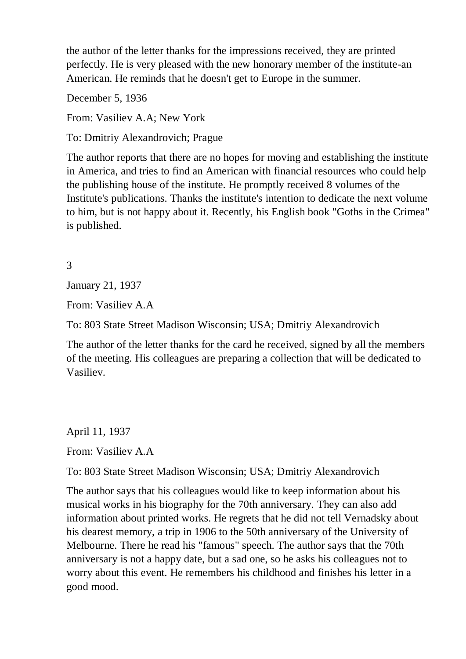the author of the letter thanks for the impressions received, they are printed perfectly. He is very pleased with the new honorary member of the institute-an American. He reminds that he doesn't get to Europe in the summer.

December 5, 1936

From: Vasiliev A.A; New York

To: Dmitriy Alexandrovich; Prague

The author reports that there are no hopes for moving and establishing the institute in America, and tries to find an American with financial resources who could help the publishing house of the institute. He promptly received 8 volumes of the Institute's publications. Thanks the institute's intention to dedicate the next volume to him, but is not happy about it. Recently, his English book "Goths in the Crimea" is published.

## 3

January 21, 1937

From: Vasiliev A.A

To: 803 State Street Madison Wisconsin; USA; Dmitriy Alexandrovich

The author of the letter thanks for the card he received, signed by all the members of the meeting. His colleagues are preparing a collection that will be dedicated to Vasiliev.

April 11, 1937

From: Vasiliev A.A

To: 803 State Street Madison Wisconsin; USA; Dmitriy Alexandrovich

The author says that his colleagues would like to keep information about his musical works in his biography for the 70th anniversary. They can also add information about printed works. He regrets that he did not tell Vernadsky about his dearest memory, a trip in 1906 to the 50th anniversary of the University of Melbourne. There he read his "famous" speech. The author says that the 70th anniversary is not a happy date, but a sad one, so he asks his colleagues not to worry about this event. He remembers his childhood and finishes his letter in a good mood.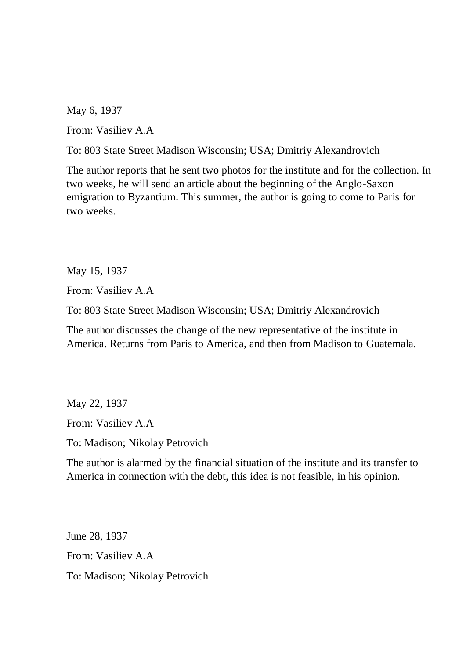May 6, 1937

From: Vasiliev A.A

To: 803 State Street Madison Wisconsin; USA; Dmitriy Alexandrovich

The author reports that he sent two photos for the institute and for the collection. In two weeks, he will send an article about the beginning of the Anglo-Saxon emigration to Byzantium. This summer, the author is going to come to Paris for two weeks.

May 15, 1937

From: Vasiliev A.A

To: 803 State Street Madison Wisconsin; USA; Dmitriy Alexandrovich

The author discusses the change of the new representative of the institute in America. Returns from Paris to America, and then from Madison to Guatemala.

May 22, 1937 From: Vasiliev A.A To: Madison; Nikolay Petrovich

The author is alarmed by the financial situation of the institute and its transfer to America in connection with the debt, this idea is not feasible, in his opinion.

June 28, 1937 From: Vasiliev A.A To: Madison; Nikolay Petrovich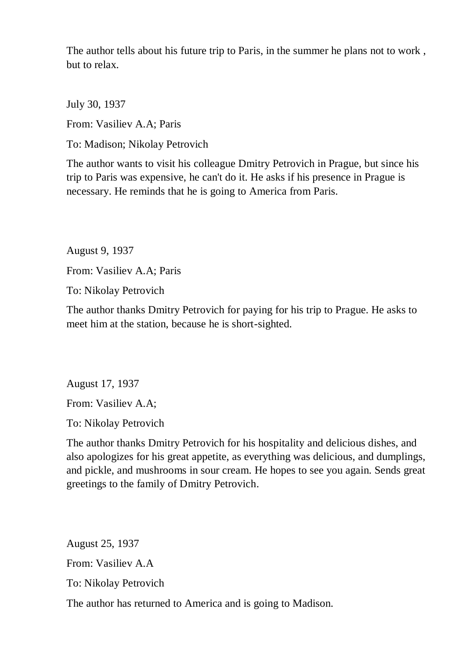The author tells about his future trip to Paris, in the summer he plans not to work , but to relax.

July 30, 1937

From: Vasiliev A.A; Paris

To: Madison; Nikolay Petrovich

The author wants to visit his colleague Dmitry Petrovich in Prague, but since his trip to Paris was expensive, he can't do it. He asks if his presence in Prague is necessary. He reminds that he is going to America from Paris.

August 9, 1937 From: Vasiliev A.A; Paris

To: Nikolay Petrovich

The author thanks Dmitry Petrovich for paying for his trip to Prague. He asks to meet him at the station, because he is short-sighted.

August 17, 1937

From: Vasiliev A.A;

To: Nikolay Petrovich

The author thanks Dmitry Petrovich for his hospitality and delicious dishes, and also apologizes for his great appetite, as everything was delicious, and dumplings, and pickle, and mushrooms in sour cream. He hopes to see you again. Sends great greetings to the family of Dmitry Petrovich.

August 25, 1937 From: Vasiliev A.A To: Nikolay Petrovich The author has returned to America and is going to Madison.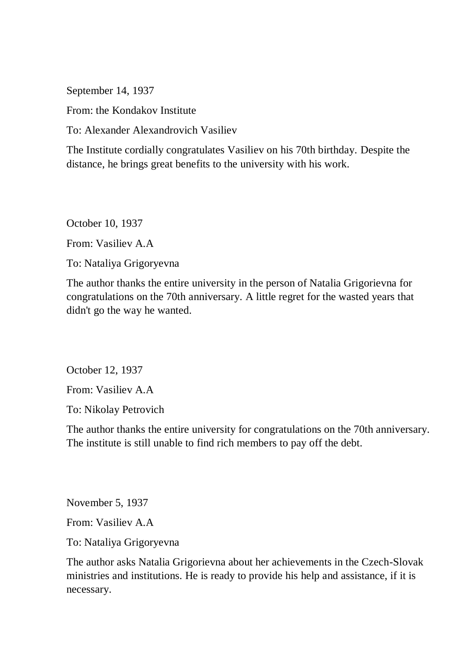September 14, 1937

From: the Kondakov Institute

To: Alexander Alexandrovich Vasiliev

The Institute cordially congratulates Vasiliev on his 70th birthday. Despite the distance, he brings great benefits to the university with his work.

October 10, 1937

From: Vasiliev A.A

To: Nataliya Grigoryevna

The author thanks the entire university in the person of Natalia Grigorievna for congratulations on the 70th anniversary. A little regret for the wasted years that didn't go the way he wanted.

October 12, 1937

From: Vasiliev A.A

To: Nikolay Petrovich

The author thanks the entire university for congratulations on the 70th anniversary. The institute is still unable to find rich members to pay off the debt.

November 5, 1937

From: Vasiliev A.A

To: Nataliya Grigoryevna

The author asks Natalia Grigorievna about her achievements in the Czech-Slovak ministries and institutions. He is ready to provide his help and assistance, if it is necessary.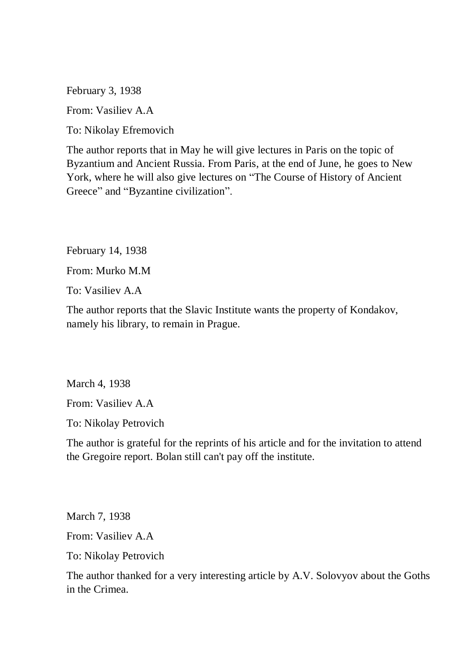February 3, 1938

From: Vasiliev A.A

To: Nikolay Efremovich

The author reports that in May he will give lectures in Paris on the topic of Byzantium and Ancient Russia. From Paris, at the end of June, he goes to New York, where he will also give lectures on "The Course of History of Ancient Greece" and "Byzantine civilization".

February 14, 1938

From: Murko M.M

To: Vasiliev A.A

The author reports that the Slavic Institute wants the property of Kondakov, namely his library, to remain in Prague.

March 4, 1938

From: Vasiliev A.A

To: Nikolay Petrovich

The author is grateful for the reprints of his article and for the invitation to attend the Gregoire report. Bolan still can't pay off the institute.

March 7, 1938

From: Vasiliev A.A

To: Nikolay Petrovich

The author thanked for a very interesting article by A.V. Solovyov about the Goths in the Crimea.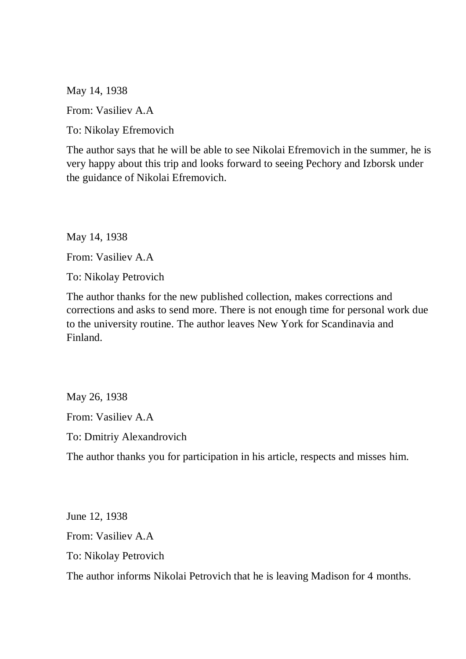May 14, 1938

From: Vasiliev A.A

To: Nikolay Efremovich

The author says that he will be able to see Nikolai Efremovich in the summer, he is very happy about this trip and looks forward to seeing Pechory and Izborsk under the guidance of Nikolai Efremovich.

May 14, 1938

From: Vasiliev A.A

To: Nikolay Petrovich

The author thanks for the new published collection, makes corrections and corrections and asks to send more. There is not enough time for personal work due to the university routine. The author leaves New York for Scandinavia and Finland.

May 26, 1938 From: Vasiliev A.A

To: Dmitriy Alexandrovich

The author thanks you for participation in his article, respects and misses him.

June 12, 1938 From: Vasiliev A.A To: Nikolay Petrovich The author informs Nikolai Petrovich that he is leaving Madison for 4 months.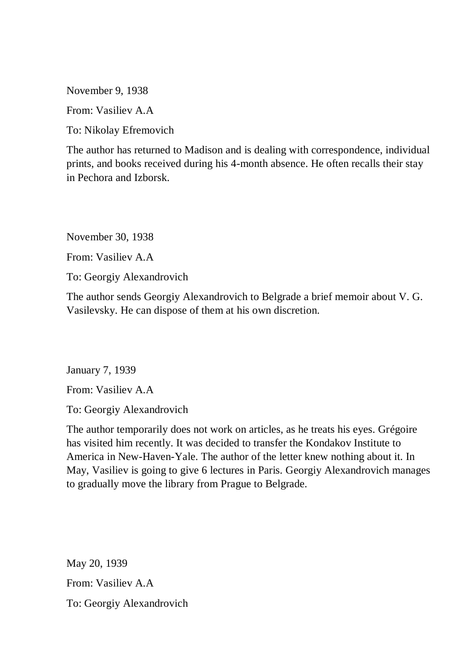November 9, 1938

From: Vasiliev A.A

To: Nikolay Efremovich

The author has returned to Madison and is dealing with correspondence, individual prints, and books received during his 4-month absence. He often recalls their stay in Pechora and Izborsk.

November 30, 1938

From: Vasiliev A.A

To: Georgiy Alexandrovich

The author sends Georgiy Alexandrovich to Belgrade a brief memoir about V. G. Vasilevsky. He can dispose of them at his own discretion.

January 7, 1939

From: Vasiliev A.A

To: Georgiy Alexandrovich

The author temporarily does not work on articles, as he treats his eyes. Grégoire has visited him recently. It was decided to transfer the Kondakov Institute to America in New-Haven-Yale. The author of the letter knew nothing about it. In May, Vasiliev is going to give 6 lectures in Paris. Georgiy Alexandrovich manages to gradually move the library from Prague to Belgrade.

May 20, 1939 From: Vasiliev A.A To: Georgiy Alexandrovich